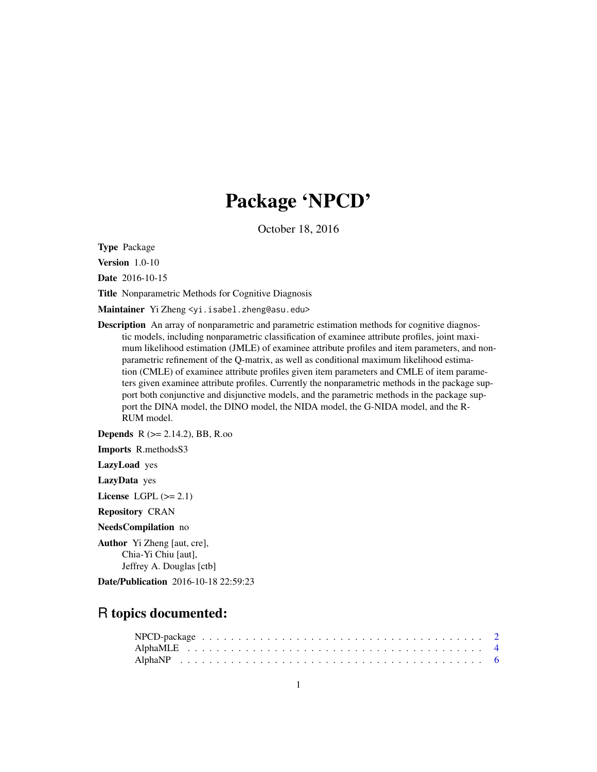# Package 'NPCD'

October 18, 2016

Type Package

Version 1.0-10

Date 2016-10-15

Title Nonparametric Methods for Cognitive Diagnosis

Maintainer Yi Zheng <yi.isabel.zheng@asu.edu>

**Description** An array of nonparametric and parametric estimation methods for cognitive diagnostic models, including nonparametric classification of examinee attribute profiles, joint maximum likelihood estimation (JMLE) of examinee attribute profiles and item parameters, and nonparametric refinement of the Q-matrix, as well as conditional maximum likelihood estimation (CMLE) of examinee attribute profiles given item parameters and CMLE of item parameters given examinee attribute profiles. Currently the nonparametric methods in the package support both conjunctive and disjunctive models, and the parametric methods in the package support the DINA model, the DINO model, the NIDA model, the G-NIDA model, and the R-RUM model.

Depends R (>= 2.14.2), BB, R.oo

Imports R.methodsS3

LazyLoad yes

LazyData yes

License LGPL  $(>= 2.1)$ 

Repository CRAN

NeedsCompilation no

Author Yi Zheng [aut, cre], Chia-Yi Chiu [aut], Jeffrey A. Douglas [ctb]

Date/Publication 2016-10-18 22:59:23

## R topics documented: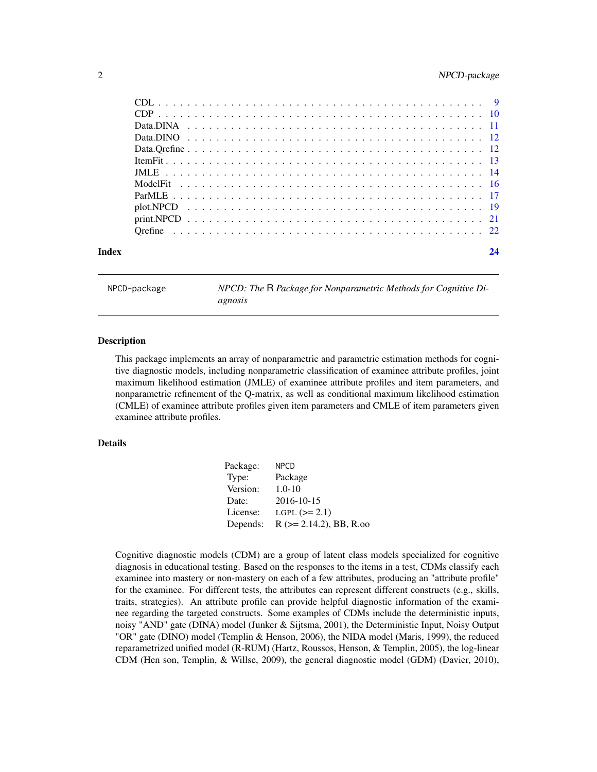## <span id="page-1-0"></span>2 NPCD-package

NPCD-package *NPCD: The* R *Package for Nonparametric Methods for Cognitive Diagnosis*

#### Description

This package implements an array of nonparametric and parametric estimation methods for cognitive diagnostic models, including nonparametric classification of examinee attribute profiles, joint maximum likelihood estimation (JMLE) of examinee attribute profiles and item parameters, and nonparametric refinement of the Q-matrix, as well as conditional maximum likelihood estimation (CMLE) of examinee attribute profiles given item parameters and CMLE of item parameters given examinee attribute profiles.

#### Details

| Package: | <b>NPCD</b>                   |
|----------|-------------------------------|
| Type:    | Package                       |
| Version: | $1.0 - 10$                    |
| Date:    | 2016-10-15                    |
| License: | LGPL $(>= 2.1)$               |
| Depends: | $R$ ( $>= 2.14.2$ ), BB, R.oo |

Cognitive diagnostic models (CDM) are a group of latent class models specialized for cognitive diagnosis in educational testing. Based on the responses to the items in a test, CDMs classify each examinee into mastery or non-mastery on each of a few attributes, producing an "attribute profile" for the examinee. For different tests, the attributes can represent different constructs (e.g., skills, traits, strategies). An attribute profile can provide helpful diagnostic information of the examinee regarding the targeted constructs. Some examples of CDMs include the deterministic inputs, noisy "AND" gate (DINA) model (Junker & Sijtsma, 2001), the Deterministic Input, Noisy Output "OR" gate (DINO) model (Templin & Henson, 2006), the NIDA model (Maris, 1999), the reduced reparametrized unified model (R-RUM) (Hartz, Roussos, Henson, & Templin, 2005), the log-linear CDM (Hen son, Templin, & Willse, 2009), the general diagnostic model (GDM) (Davier, 2010),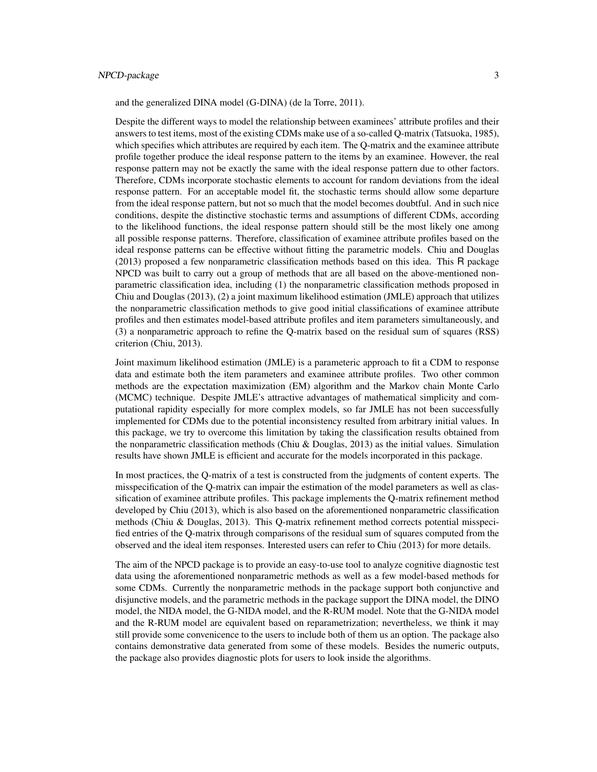## NPCD-package 3

and the generalized DINA model (G-DINA) (de la Torre, 2011).

Despite the different ways to model the relationship between examinees' attribute profiles and their answers to test items, most of the existing CDMs make use of a so-called Q-matrix (Tatsuoka, 1985), which specifies which attributes are required by each item. The Q-matrix and the examinee attribute profile together produce the ideal response pattern to the items by an examinee. However, the real response pattern may not be exactly the same with the ideal response pattern due to other factors. Therefore, CDMs incorporate stochastic elements to account for random deviations from the ideal response pattern. For an acceptable model fit, the stochastic terms should allow some departure from the ideal response pattern, but not so much that the model becomes doubtful. And in such nice conditions, despite the distinctive stochastic terms and assumptions of different CDMs, according to the likelihood functions, the ideal response pattern should still be the most likely one among all possible response patterns. Therefore, classification of examinee attribute profiles based on the ideal response patterns can be effective without fitting the parametric models. Chiu and Douglas (2013) proposed a few nonparametric classification methods based on this idea. This R package NPCD was built to carry out a group of methods that are all based on the above-mentioned nonparametric classification idea, including (1) the nonparametric classification methods proposed in Chiu and Douglas (2013), (2) a joint maximum likelihood estimation (JMLE) approach that utilizes the nonparametric classification methods to give good initial classifications of examinee attribute profiles and then estimates model-based attribute profiles and item parameters simultaneously, and (3) a nonparametric approach to refine the Q-matrix based on the residual sum of squares (RSS) criterion (Chiu, 2013).

Joint maximum likelihood estimation (JMLE) is a parameteric approach to fit a CDM to response data and estimate both the item parameters and examinee attribute profiles. Two other common methods are the expectation maximization (EM) algorithm and the Markov chain Monte Carlo (MCMC) technique. Despite JMLE's attractive advantages of mathematical simplicity and computational rapidity especially for more complex models, so far JMLE has not been successfully implemented for CDMs due to the potential inconsistency resulted from arbitrary initial values. In this package, we try to overcome this limitation by taking the classification results obtained from the nonparametric classification methods (Chiu & Douglas, 2013) as the initial values. Simulation results have shown JMLE is efficient and accurate for the models incorporated in this package.

In most practices, the Q-matrix of a test is constructed from the judgments of content experts. The misspecification of the Q-matrix can impair the estimation of the model parameters as well as classification of examinee attribute profiles. This package implements the Q-matrix refinement method developed by Chiu (2013), which is also based on the aforementioned nonparametric classification methods (Chiu & Douglas, 2013). This Q-matrix refinement method corrects potential misspecified entries of the Q-matrix through comparisons of the residual sum of squares computed from the observed and the ideal item responses. Interested users can refer to Chiu (2013) for more details.

The aim of the NPCD package is to provide an easy-to-use tool to analyze cognitive diagnostic test data using the aforementioned nonparametric methods as well as a few model-based methods for some CDMs. Currently the nonparametric methods in the package support both conjunctive and disjunctive models, and the parametric methods in the package support the DINA model, the DINO model, the NIDA model, the G-NIDA model, and the R-RUM model. Note that the G-NIDA model and the R-RUM model are equivalent based on reparametrization; nevertheless, we think it may still provide some convenicence to the users to include both of them us an option. The package also contains demonstrative data generated from some of these models. Besides the numeric outputs, the package also provides diagnostic plots for users to look inside the algorithms.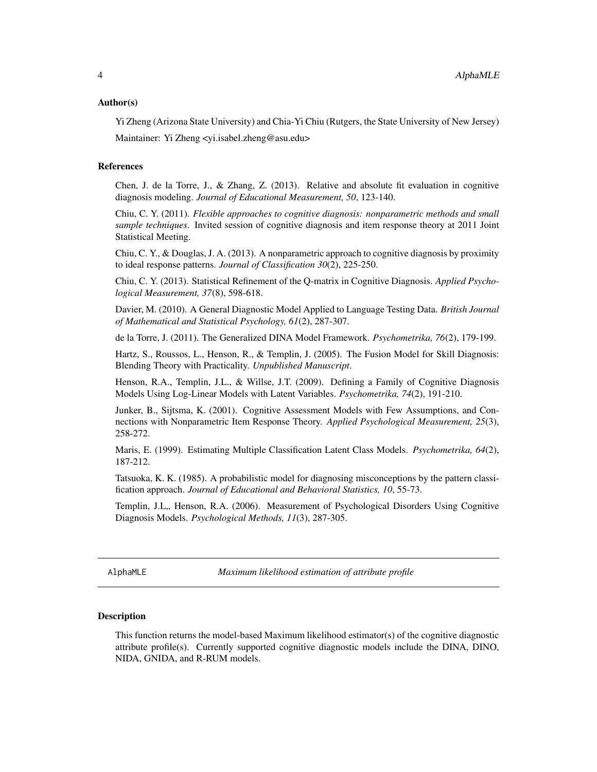#### <span id="page-3-0"></span>Author(s)

Yi Zheng (Arizona State University) and Chia-Yi Chiu (Rutgers, the State University of New Jersey) Maintainer: Yi Zheng <yi.isabel.zheng@asu.edu>

#### References

Chen, J. de la Torre, J., & Zhang, Z. (2013). Relative and absolute fit evaluation in cognitive diagnosis modeling. *Journal of Educational Measurement, 50*, 123-140.

Chiu, C. Y. (2011). *Flexible approaches to cognitive diagnosis: nonparametric methods and small sample techniques*. Invited session of cognitive diagnosis and item response theory at 2011 Joint Statistical Meeting.

Chiu, C. Y., & Douglas, J. A. (2013). A nonparametric approach to cognitive diagnosis by proximity to ideal response patterns. *Journal of Classification 30*(2), 225-250.

Chiu, C. Y. (2013). Statistical Refinement of the Q-matrix in Cognitive Diagnosis. *Applied Psychological Measurement, 37*(8), 598-618.

Davier, M. (2010). A General Diagnostic Model Applied to Language Testing Data. *British Journal of Mathematical and Statistical Psychology, 61*(2), 287-307.

de la Torre, J. (2011). The Generalized DINA Model Framework. *Psychometrika, 76*(2), 179-199.

Hartz, S., Roussos, L., Henson, R., & Templin, J. (2005). The Fusion Model for Skill Diagnosis: Blending Theory with Practicality. *Unpublished Manuscript*.

Henson, R.A., Templin, J.L., & Willse, J.T. (2009). Defining a Family of Cognitive Diagnosis Models Using Log-Linear Models with Latent Variables. *Psychometrika, 74*(2), 191-210.

Junker, B., Sijtsma, K. (2001). Cognitive Assessment Models with Few Assumptions, and Connections with Nonparametric Item Response Theory. *Applied Psychological Measurement, 25*(3), 258-272.

Maris, E. (1999). Estimating Multiple Classification Latent Class Models. *Psychometrika, 64*(2), 187-212.

Tatsuoka, K. K. (1985). A probabilistic model for diagnosing misconceptions by the pattern classification approach. *Journal of Educational and Behavioral Statistics, 10*, 55-73.

Templin, J.L., Henson, R.A. (2006). Measurement of Psychological Disorders Using Cognitive Diagnosis Models. *Psychological Methods, 11*(3), 287-305.

<span id="page-3-1"></span>AlphaMLE *Maximum likelihood estimation of attribute profile*

#### Description

This function returns the model-based Maximum likelihood estimator(s) of the cognitive diagnostic attribute profile(s). Currently supported cognitive diagnostic models include the DINA, DINO, NIDA, GNIDA, and R-RUM models.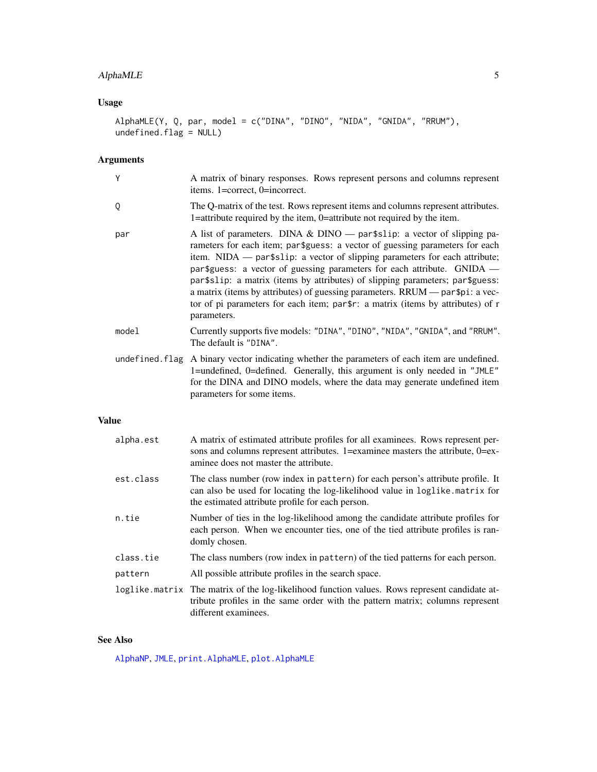## <span id="page-4-0"></span>AlphaMLE 5

## Usage

```
AlphaMLE(Y, Q, par, model = c("DINA", "DINO", "NIDA", "GNIDA", "RRUM"),
undefined.flag = NULL)
```
## Arguments

| Y              | A matrix of binary responses. Rows represent persons and columns represent<br>items. 1=correct, 0=incorrect.                                                                                                                                                                                                                                                                                                                                                                                                                                                                            |
|----------------|-----------------------------------------------------------------------------------------------------------------------------------------------------------------------------------------------------------------------------------------------------------------------------------------------------------------------------------------------------------------------------------------------------------------------------------------------------------------------------------------------------------------------------------------------------------------------------------------|
| Q              | The Q-matrix of the test. Rows represent items and columns represent attributes.<br>1=attribute required by the item, 0=attribute not required by the item.                                                                                                                                                                                                                                                                                                                                                                                                                             |
| par            | A list of parameters. DINA & DINO $-$ partslip: a vector of slipping pa-<br>rameters for each item; par \$guess: a vector of guessing parameters for each<br>item. NIDA — par\$slip: a vector of slipping parameters for each attribute;<br>par\$guess: a vector of guessing parameters for each attribute. GNIDA —<br>par\$slip: a matrix (items by attributes) of slipping parameters; par\$guess:<br>a matrix (items by attributes) of guessing parameters. RRUM — par\$pi: a vec-<br>tor of pi parameters for each item; par\$r: a matrix (items by attributes) of r<br>parameters. |
| model          | Currently supports five models: "DINA", "DINO", "NIDA", "GNIDA", and "RRUM".<br>The default is "DINA".                                                                                                                                                                                                                                                                                                                                                                                                                                                                                  |
| undefined.flag | A binary vector indicating whether the parameters of each item are undefined.<br>1=undefined, 0=defined. Generally, this argument is only needed in "JMLE"<br>for the DINA and DINO models, where the data may generate undefined item<br>parameters for some items.                                                                                                                                                                                                                                                                                                                    |

## Value

| alpha.est | A matrix of estimated attribute profiles for all examinees. Rows represent per-<br>sons and columns represent attributes. 1=examinee masters the attribute, 0=ex-<br>aminee does not master the attribute.          |
|-----------|---------------------------------------------------------------------------------------------------------------------------------------------------------------------------------------------------------------------|
| est.class | The class number (row index in pattern) for each person's attribute profile. It<br>can also be used for locating the log-likelihood value in loglike.matrix for<br>the estimated attribute profile for each person. |
| n.tie     | Number of ties in the log-likelihood among the candidate attribute profiles for<br>each person. When we encounter ties, one of the tied attribute profiles is ran-<br>domly chosen.                                 |
| class.tie | The class numbers (row index in pattern) of the tied patterns for each person.                                                                                                                                      |
| pattern   | All possible attribute profiles in the search space.                                                                                                                                                                |
|           | loglike matrix The matrix of the log-likelihood function values. Rows represent candidate at-<br>tribute profiles in the same order with the pattern matrix; columns represent<br>different examinees.              |

## See Also

[AlphaNP](#page-5-1), [JMLE](#page-13-1), [print.AlphaMLE](#page-20-1), [plot.AlphaMLE](#page-18-1)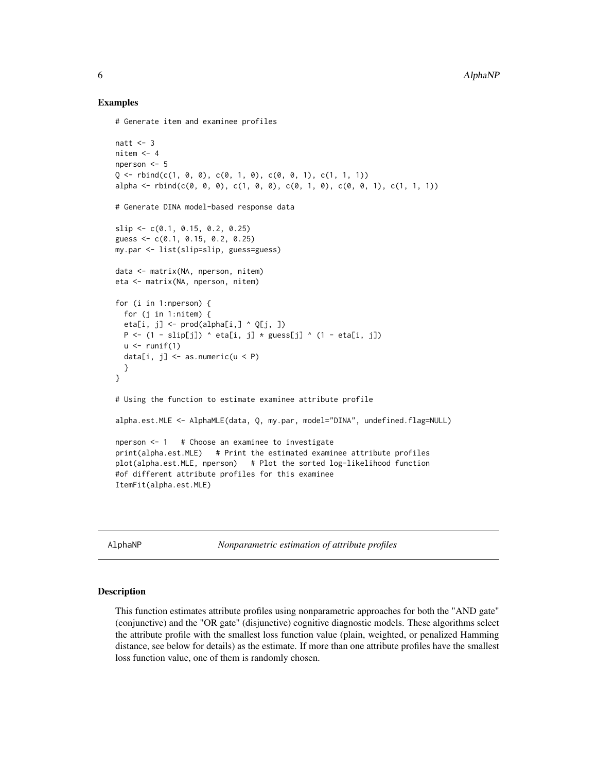#### Examples

```
# Generate item and examinee profiles
natt <-3nitem <-4nperson <- 5
Q \leq -rbind(c(1, 0, 0), c(0, 1, 0), c(0, 0, 1), c(1, 1, 1))alpha <- rbind(c(0, 0, 0), c(1, 0, 0), c(0, 1, 0), c(0, 0, 1), c(1, 1, 1))
# Generate DINA model-based response data
slip <- c(0.1, 0.15, 0.2, 0.25)
guess <- c(0.1, 0.15, 0.2, 0.25)
my.par <- list(slip=slip, guess=guess)
data <- matrix(NA, nperson, nitem)
eta <- matrix(NA, nperson, nitem)
for (i in 1:nperson) {
  for (j in 1:nitem) {
  eta[i, j] <- prod(a1pha[i, ] \land Q[j, ])P \leftarrow (1 - \text{slip}[j]) \land \text{eta}[i, j] \times \text{guess}[j] \land (1 - \text{eta}[i, j])u \leftarrow runif(1)data[i, j] \leq as.numeric(u \leq P)
  }
}
# Using the function to estimate examinee attribute profile
alpha.est.MLE <- AlphaMLE(data, Q, my.par, model="DINA", undefined.flag=NULL)
nperson <- 1 # Choose an examinee to investigate
print(alpha.est.MLE) # Print the estimated examinee attribute profiles
plot(alpha.est.MLE, nperson) # Plot the sorted log-likelihood function
#of different attribute profiles for this examinee
ItemFit(alpha.est.MLE)
```
<span id="page-5-1"></span>AlphaNP *Nonparametric estimation of attribute profiles*

#### **Description**

This function estimates attribute profiles using nonparametric approaches for both the "AND gate" (conjunctive) and the "OR gate" (disjunctive) cognitive diagnostic models. These algorithms select the attribute profile with the smallest loss function value (plain, weighted, or penalized Hamming distance, see below for details) as the estimate. If more than one attribute profiles have the smallest loss function value, one of them is randomly chosen.

<span id="page-5-0"></span>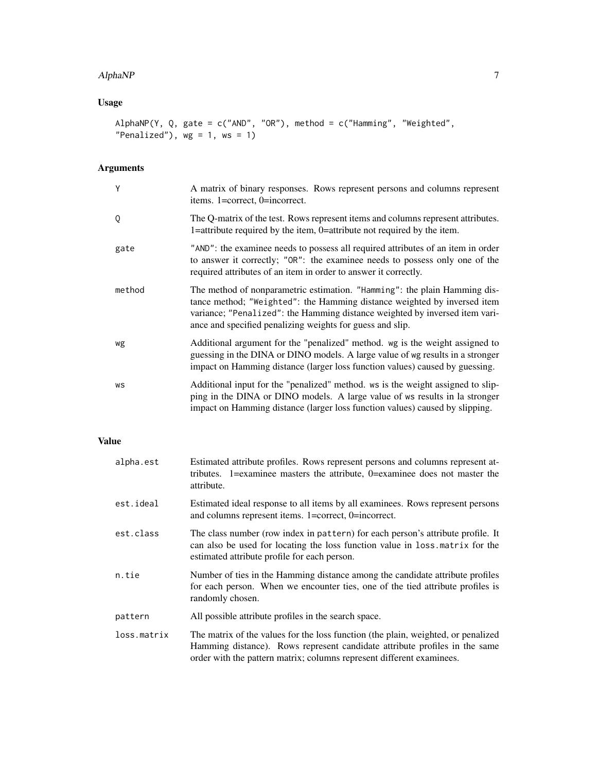#### AlphaNP 7 7

## Usage

```
AlphaNP(Y, Q, gate = c("AND", "OR"), method = c("Hamming", "Weighted","Penalized"), wg = 1, ws = 1)
```
## Arguments

| Y      | A matrix of binary responses. Rows represent persons and columns represent<br>items. 1=correct, 0=incorrect.                                                                                                                                                                                      |
|--------|---------------------------------------------------------------------------------------------------------------------------------------------------------------------------------------------------------------------------------------------------------------------------------------------------|
| Q      | The Q-matrix of the test. Rows represent items and columns represent attributes.<br>1=attribute required by the item, 0=attribute not required by the item.                                                                                                                                       |
| gate   | "AND": the examinee needs to possess all required attributes of an item in order<br>to answer it correctly; "OR": the examinee needs to possess only one of the<br>required attributes of an item in order to answer it correctly.                                                                |
| method | The method of nonparametric estimation. "Hamming": the plain Hamming dis-<br>tance method; "Weighted": the Hamming distance weighted by inversed item<br>variance; "Penalized": the Hamming distance weighted by inversed item vari-<br>ance and specified penalizing weights for guess and slip. |
| wg     | Additional argument for the "penalized" method, wg is the weight assigned to<br>guessing in the DINA or DINO models. A large value of wg results in a stronger<br>impact on Hamming distance (larger loss function values) caused by guessing.                                                    |
| WS     | Additional input for the "penalized" method, ws is the weight assigned to slip-<br>ping in the DINA or DINO models. A large value of ws results in la stronger<br>impact on Hamming distance (larger loss function values) caused by slipping.                                                    |

## Value

| alpha.est   | Estimated attribute profiles. Rows represent persons and columns represent at-<br>tributes. 1=examinee masters the attribute, 0=examinee does not master the<br>attribute.                                                               |
|-------------|------------------------------------------------------------------------------------------------------------------------------------------------------------------------------------------------------------------------------------------|
| est.ideal   | Estimated ideal response to all items by all examinees. Rows represent persons<br>and columns represent items. 1=correct, 0=incorrect.                                                                                                   |
| est.class   | The class number (row index in pattern) for each person's attribute profile. It<br>can also be used for locating the loss function value in loss matrix for the<br>estimated attribute profile for each person.                          |
| n.tie       | Number of ties in the Hamming distance among the candidate attribute profiles<br>for each person. When we encounter ties, one of the tied attribute profiles is<br>randomly chosen.                                                      |
| pattern     | All possible attribute profiles in the search space.                                                                                                                                                                                     |
| loss.matrix | The matrix of the values for the loss function (the plain, weighted, or penalized<br>Hamming distance). Rows represent candidate attribute profiles in the same<br>order with the pattern matrix; columns represent different examinees. |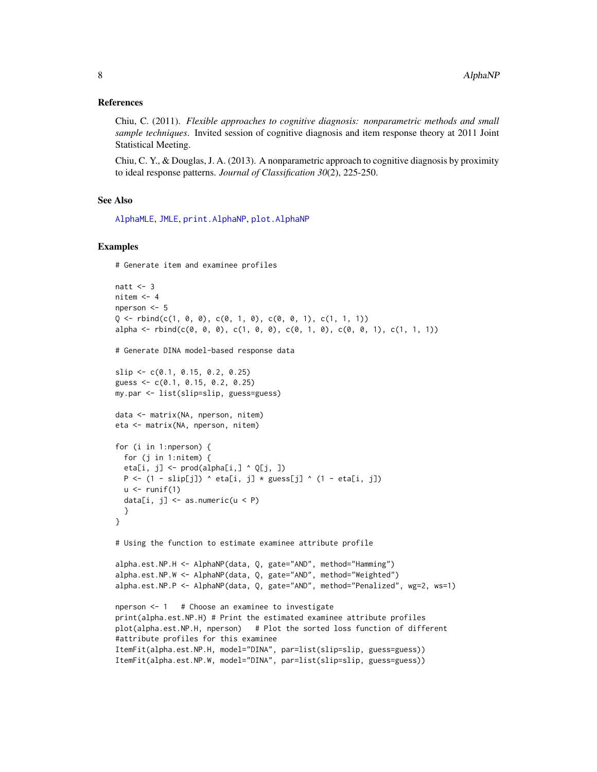#### <span id="page-7-0"></span>References

Chiu, C. (2011). *Flexible approaches to cognitive diagnosis: nonparametric methods and small sample techniques*. Invited session of cognitive diagnosis and item response theory at 2011 Joint Statistical Meeting.

Chiu, C. Y., & Douglas, J. A. (2013). A nonparametric approach to cognitive diagnosis by proximity to ideal response patterns. *Journal of Classification 30*(2), 225-250.

#### See Also

[AlphaMLE](#page-3-1), [JMLE](#page-13-1), [print.AlphaNP](#page-20-1), [plot.AlphaNP](#page-18-1)

#### Examples

# Generate item and examinee profiles

```
natt <-3nitem <-4nperson <- 5
Q \le - rbind(c(1, 0, 0), c(0, 1, 0), c(0, 0, 1), c(1, 1, 1))
alpha <- rbind(c(0, 0, 0), c(1, 0, 0), c(0, 1, 0), c(0, 0, 1), c(1, 1, 1))
# Generate DINA model-based response data
slip <- c(0.1, 0.15, 0.2, 0.25)
guess <- c(0.1, 0.15, 0.2, 0.25)
my.par <- list(slip=slip, guess=guess)
data <- matrix(NA, nperson, nitem)
eta <- matrix(NA, nperson, nitem)
for (i in 1:nperson) {
  for (j in 1:nitem) {
  eta[i, j] \leq prod(alpha[i,] \land Q[j, ])
  P \leftarrow (1 - \text{slip}[j]) \land \text{eta}[i, j] \times \text{guess}[j] \land (1 - \text{eta}[i, j])u \leftarrow runif(1)data[i, j] <- as.numeric(u < P)
  }
}
# Using the function to estimate examinee attribute profile
alpha.est.NP.H <- AlphaNP(data, Q, gate="AND", method="Hamming")
alpha.est.NP.W <- AlphaNP(data, Q, gate="AND", method="Weighted")
alpha.est.NP.P <- AlphaNP(data, Q, gate="AND", method="Penalized", wg=2, ws=1)
nperson <- 1 # Choose an examinee to investigate
print(alpha.est.NP.H) # Print the estimated examinee attribute profiles
plot(alpha.est.NP.H, nperson) # Plot the sorted loss function of different
#attribute profiles for this examinee
ItemFit(alpha.est.NP.H, model="DINA", par=list(slip=slip, guess=guess))
```
ItemFit(alpha.est.NP.W, model="DINA", par=list(slip=slip, guess=guess))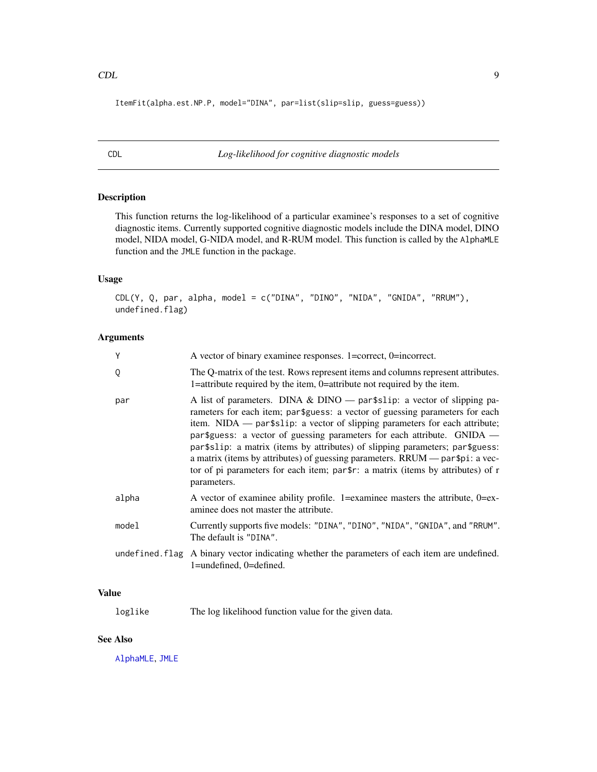<span id="page-8-0"></span>ItemFit(alpha.est.NP.P, model="DINA", par=list(slip=slip, guess=guess))

CDL *Log-likelihood for cognitive diagnostic models*

## Description

This function returns the log-likelihood of a particular examinee's responses to a set of cognitive diagnostic items. Currently supported cognitive diagnostic models include the DINA model, DINO model, NIDA model, G-NIDA model, and R-RUM model. This function is called by the AlphaMLE function and the JMLE function in the package.

## Usage

CDL(Y, Q, par, alpha, model = c("DINA", "DINO", "NIDA", "GNIDA", "RRUM"), undefined.flag)

## Arguments

| Y     | A vector of binary examinee responses. 1=correct, 0=incorrect.                                                                                                                                                                                                                                                                                                                                                                                                                                                                                                                                    |
|-------|---------------------------------------------------------------------------------------------------------------------------------------------------------------------------------------------------------------------------------------------------------------------------------------------------------------------------------------------------------------------------------------------------------------------------------------------------------------------------------------------------------------------------------------------------------------------------------------------------|
| Q     | The Q-matrix of the test. Rows represent items and columns represent attributes.<br>1=attribute required by the item, 0=attribute not required by the item.                                                                                                                                                                                                                                                                                                                                                                                                                                       |
| par   | A list of parameters. DINA & DINO — par $\text{\$slip:}$ a vector of slipping pa-<br>rameters for each item; par\$guess: a vector of guessing parameters for each<br>item. $NIDA$ — par\$slip: a vector of slipping parameters for each attribute;<br>par\$guess: a vector of guessing parameters for each attribute. GNIDA —<br>par\$slip: a matrix (items by attributes) of slipping parameters; par\$guess:<br>a matrix (items by attributes) of guessing parameters. RRUM — par\$pi: a vec-<br>tor of pi parameters for each item; par\$r: a matrix (items by attributes) of r<br>parameters. |
| alpha | A vector of examinee ability profile. 1=examinee masters the attribute, 0=ex-<br>aminee does not master the attribute.                                                                                                                                                                                                                                                                                                                                                                                                                                                                            |
| model | Currently supports five models: "DINA", "DINO", "NIDA", "GNIDA", and "RRUM".<br>The default is "DINA".                                                                                                                                                                                                                                                                                                                                                                                                                                                                                            |
|       | undefined. flag A binary vector indicating whether the parameters of each item are undefined.<br>1=undefined, 0=defined.                                                                                                                                                                                                                                                                                                                                                                                                                                                                          |

## Value

loglike The log likelihood function value for the given data.

#### See Also

[AlphaMLE](#page-3-1), [JMLE](#page-13-1)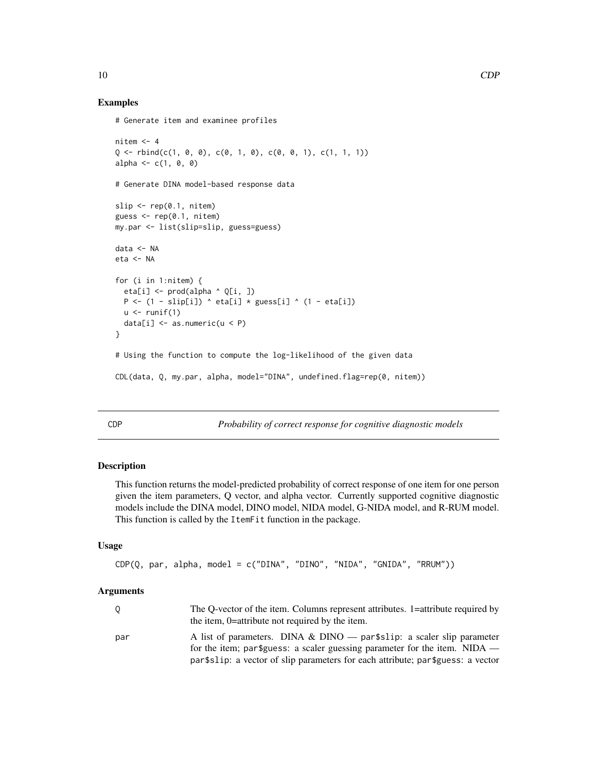#### Examples

```
# Generate item and examinee profiles
nitem <-4Q \leftarrow \text{rbind}(c(1, 0, 0), c(0, 1, 0), c(0, 0, 1), c(1, 1, 1))alpha <- c(1, 0, 0)# Generate DINA model-based response data
slip \leq rep(0.1, nitem)
guess \leq rep(0.1, nitem)
my.par <- list(slip=slip, guess=guess)
data <- NA
eta <- NA
for (i in 1:nitem) {
  eta[i] <- prod(alpha ^ Q[i, ])
  P \leftarrow (1 - \text{slip}[i]) \land \text{eta}[i] \times \text{guess}[i] \land (1 - \text{eta}[i])u \leftarrow runif(1)data[i] \leq as.numeric(u \leq P)
}
# Using the function to compute the log-likelihood of the given data
CDL(data, Q, my.par, alpha, model="DINA", undefined.flag=rep(0, nitem))
```
CDP *Probability of correct response for cognitive diagnostic models*

## Description

This function returns the model-predicted probability of correct response of one item for one person given the item parameters, Q vector, and alpha vector. Currently supported cognitive diagnostic models include the DINA model, DINO model, NIDA model, G-NIDA model, and R-RUM model. This function is called by the ItemFit function in the package.

## Usage

```
CDP(Q, par, alpha, model = c("DINA", "DINO", "NIDA", "GNIDA", "RRUM"))
```
#### Arguments

|     | The Q-vector of the item. Columns represent attributes. 1=attribute required by |
|-----|---------------------------------------------------------------------------------|
|     | the item, 0=attribute not required by the item.                                 |
| par | A list of parameters. DINA & DINO — par $\text{fslip}:$ a scaler slip parameter |
|     | for the item; par \$guess: a scaler guessing parameter for the item. NIDA —     |
|     | part slip: a vector of slip parameters for each attribute; part guess: a vector |

<span id="page-9-0"></span>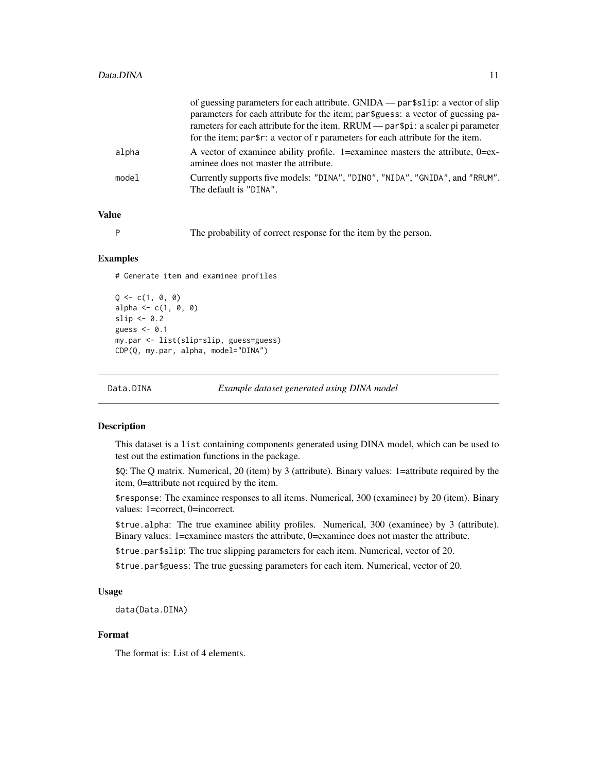<span id="page-10-0"></span>

|       | of guessing parameters for each attribute. GNIDA — part slip: a vector of slip                                            |
|-------|---------------------------------------------------------------------------------------------------------------------------|
|       | parameters for each attribute for the item; par \$guess: a vector of guessing pa-                                         |
|       | rameters for each attribute for the item. RRUM — par\$pi: a scaler pi parameter                                           |
|       | for the item; par\$r: a vector of r parameters for each attribute for the item.                                           |
| alpha | A vector of examinee ability profile. 1=examinee masters the attribute, $0=$ ex-<br>aminee does not master the attribute. |
| model | Currently supports five models: "DINA", "DINO", "NIDA", "GNIDA", and "RRUM".<br>The default is "DINA".                    |
|       |                                                                                                                           |

## Value

P The probability of correct response for the item by the person.

#### Examples

# Generate item and examinee profiles

```
Q \leftarrow c(1, 0, 0)alpha \leq -c(1, 0, 0)slip \leq 0.2guess <- 0.1
my.par <- list(slip=slip, guess=guess)
CDP(Q, my.par, alpha, model="DINA")
```
Data.DINA *Example dataset generated using DINA model*

#### Description

This dataset is a list containing components generated using DINA model, which can be used to test out the estimation functions in the package.

\$Q: The Q matrix. Numerical, 20 (item) by 3 (attribute). Binary values: 1=attribute required by the item, 0=attribute not required by the item.

\$response: The examinee responses to all items. Numerical, 300 (examinee) by 20 (item). Binary values: 1=correct, 0=incorrect.

\$true.alpha: The true examinee ability profiles. Numerical, 300 (examinee) by 3 (attribute). Binary values: 1=examinee masters the attribute, 0=examinee does not master the attribute.

\$true.par\$slip: The true slipping parameters for each item. Numerical, vector of 20.

\$true.par\$guess: The true guessing parameters for each item. Numerical, vector of 20.

#### Usage

data(Data.DINA)

#### Format

The format is: List of 4 elements.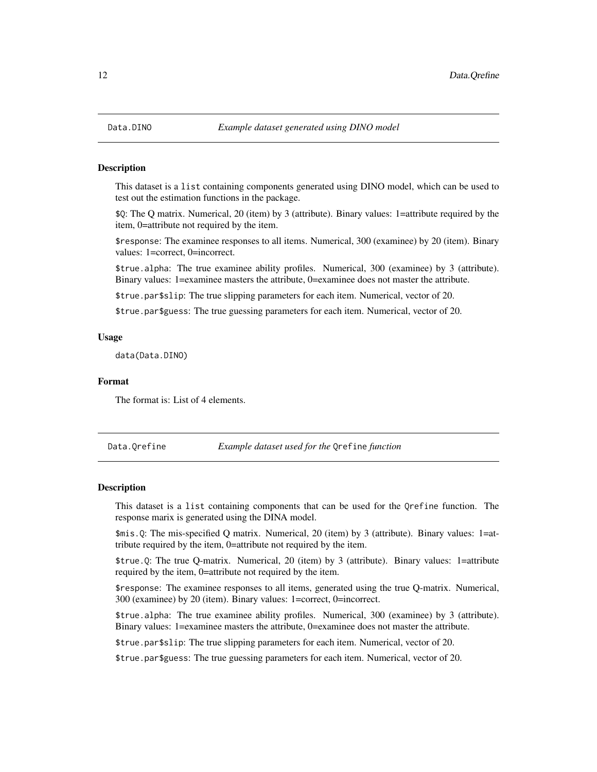<span id="page-11-0"></span>

#### Description

This dataset is a list containing components generated using DINO model, which can be used to test out the estimation functions in the package.

\$Q: The Q matrix. Numerical, 20 (item) by 3 (attribute). Binary values: 1=attribute required by the item, 0=attribute not required by the item.

\$response: The examinee responses to all items. Numerical, 300 (examinee) by 20 (item). Binary values: 1=correct, 0=incorrect.

\$true.alpha: The true examinee ability profiles. Numerical, 300 (examinee) by 3 (attribute). Binary values: 1=examinee masters the attribute, 0=examinee does not master the attribute.

\$true.par\$slip: The true slipping parameters for each item. Numerical, vector of 20.

\$true.par\$guess: The true guessing parameters for each item. Numerical, vector of 20.

#### Usage

data(Data.DINO)

#### Format

The format is: List of 4 elements.

Data.Qrefine *Example dataset used for the* Qrefine *function*

#### Description

This dataset is a list containing components that can be used for the Qrefine function. The response marix is generated using the DINA model.

\$mis.Q: The mis-specified Q matrix. Numerical, 20 (item) by 3 (attribute). Binary values: 1=attribute required by the item, 0=attribute not required by the item.

\$true.Q: The true Q-matrix. Numerical, 20 (item) by 3 (attribute). Binary values: 1=attribute required by the item, 0=attribute not required by the item.

\$response: The examinee responses to all items, generated using the true Q-matrix. Numerical, 300 (examinee) by 20 (item). Binary values: 1=correct, 0=incorrect.

\$true.alpha: The true examinee ability profiles. Numerical, 300 (examinee) by 3 (attribute). Binary values: 1=examinee masters the attribute, 0=examinee does not master the attribute.

\$true.par\$slip: The true slipping parameters for each item. Numerical, vector of 20.

\$true.par\$guess: The true guessing parameters for each item. Numerical, vector of 20.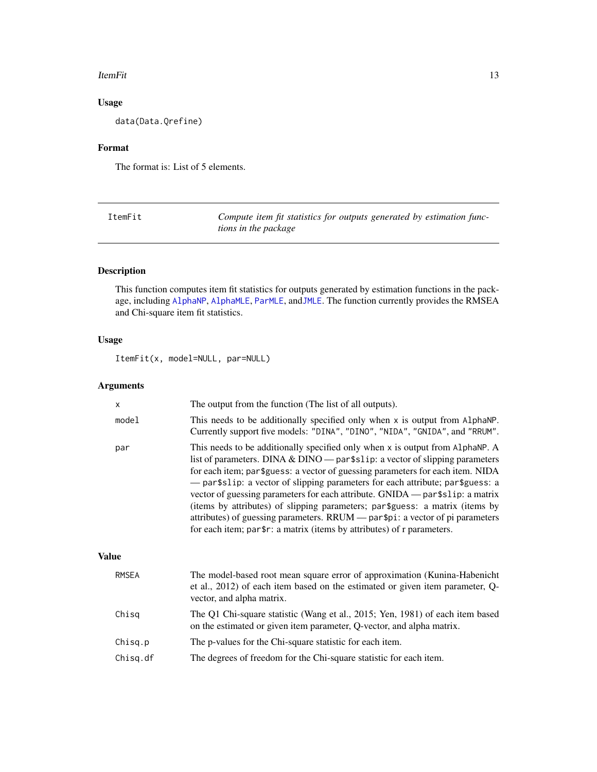#### <span id="page-12-0"></span>ItemFit 13

## Usage

data(Data.Qrefine)

## Format

The format is: List of 5 elements.

| ItemFit | Compute item fit statistics for outputs generated by estimation func- |
|---------|-----------------------------------------------------------------------|
|         | tions in the package                                                  |

## Description

This function computes item fit statistics for outputs generated by estimation functions in the package, including [AlphaNP](#page-5-1), [AlphaMLE](#page-3-1), [ParMLE](#page-16-1), and[JMLE](#page-13-1). The function currently provides the RMSEA and Chi-square item fit statistics.

## Usage

ItemFit(x, model=NULL, par=NULL)

## Arguments

| X            | The output from the function (The list of all outputs).                                                                                                                                                                                                                                                                                                                                                                                                                                                                                                                                                                                                                        |
|--------------|--------------------------------------------------------------------------------------------------------------------------------------------------------------------------------------------------------------------------------------------------------------------------------------------------------------------------------------------------------------------------------------------------------------------------------------------------------------------------------------------------------------------------------------------------------------------------------------------------------------------------------------------------------------------------------|
| model        | This needs to be additionally specified only when x is output from AlphaNP.<br>Currently support five models: "DINA", "DINO", "NIDA", "GNIDA", and "RRUM".                                                                                                                                                                                                                                                                                                                                                                                                                                                                                                                     |
| par          | This needs to be additionally specified only when x is output from AlphaNP. A<br>list of parameters. DINA & DINO — par $\frac{2}{3}$ zip: a vector of slipping parameters<br>for each item; par\$guess: a vector of guessing parameters for each item. NIDA<br>- par \$ slip: a vector of slipping parameters for each attribute; par \$ guess: a<br>vector of guessing parameters for each attribute. GNIDA — par\$s1ip: a matrix<br>(items by attributes) of slipping parameters; par \$guess: a matrix (items by<br>attributes) of guessing parameters. RRUM — par\$pi: a vector of pi parameters<br>for each item; par\$r: a matrix (items by attributes) of r parameters. |
| <b>Value</b> |                                                                                                                                                                                                                                                                                                                                                                                                                                                                                                                                                                                                                                                                                |
| <b>RMSEA</b> | The model-based root mean square error of approximation (Kunina-Habenicht<br>et al., 2012) of each item based on the estimated or given item parameter, Q-<br>vector, and alpha matrix.                                                                                                                                                                                                                                                                                                                                                                                                                                                                                        |
| Chisq        | The Q1 Chi-square statistic (Wang et al., 2015; Yen, 1981) of each item based<br>on the estimated or given item parameter, Q-vector, and alpha matrix.                                                                                                                                                                                                                                                                                                                                                                                                                                                                                                                         |
| Chisq.p      | The p-values for the Chi-square statistic for each item.                                                                                                                                                                                                                                                                                                                                                                                                                                                                                                                                                                                                                       |

Chisq.df The degrees of freedom for the Chi-square statistic for each item.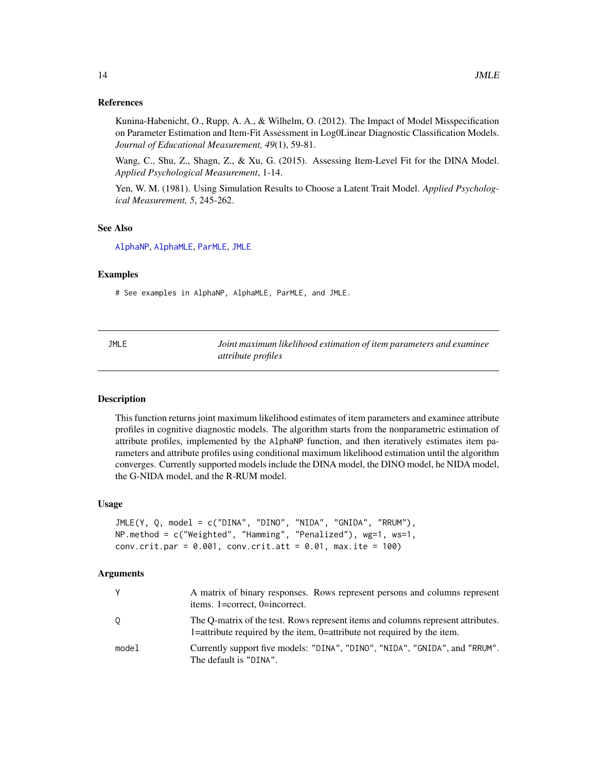#### <span id="page-13-0"></span>References

Kunina-Habenicht, O., Rupp, A. A., & Wilhelm, O. (2012). The Impact of Model Misspecification on Parameter Estimation and Item-Fit Assessment in Log0Linear Diagnostic Classification Models. *Journal of Educational Measurement, 49*(1), 59-81.

Wang, C., Shu, Z., Shagn, Z., & Xu, G. (2015). Assessing Item-Level Fit for the DINA Model. *Applied Psychological Measurement*, 1-14.

Yen, W. M. (1981). Using Simulation Results to Choose a Latent Trait Model. *Applied Psychological Measurement, 5*, 245-262.

#### See Also

[AlphaNP](#page-5-1), [AlphaMLE](#page-3-1), [ParMLE](#page-16-1), [JMLE](#page-13-1)

#### Examples

# See examples in AlphaNP, AlphaMLE, ParMLE, and JMLE.

<span id="page-13-1"></span>JMLE *Joint maximum likelihood estimation of item parameters and examinee attribute profiles*

#### **Description**

This function returns joint maximum likelihood estimates of item parameters and examinee attribute profiles in cognitive diagnostic models. The algorithm starts from the nonparametric estimation of attribute profiles, implemented by the AlphaNP function, and then iteratively estimates item parameters and attribute profiles using conditional maximum likelihood estimation until the algorithm converges. Currently supported models include the DINA model, the DINO model, he NIDA model, the G-NIDA model, and the R-RUM model.

#### Usage

```
JMLE(Y, Q, model = c("DINA", "DINO", "NIDA", "GNIDA", "RRUM"),
NP.method = c("Weighted", "Hamming", "Penalized"), wg=1, ws=1,
conv.crit.par = 0.001, conv.crit.att = 0.01, max.ite = 100)
```
#### Arguments

|       | A matrix of binary responses. Rows represent persons and columns represent<br>items. 1=correct, 0=incorrect.                                                |
|-------|-------------------------------------------------------------------------------------------------------------------------------------------------------------|
| 0     | The Q-matrix of the test. Rows represent items and columns represent attributes.<br>1=attribute required by the item, 0=attribute not required by the item. |
| model | Currently support five models: "DINA", "DINO", "NIDA", "GNIDA", and "RRUM".<br>The default is "DINA".                                                       |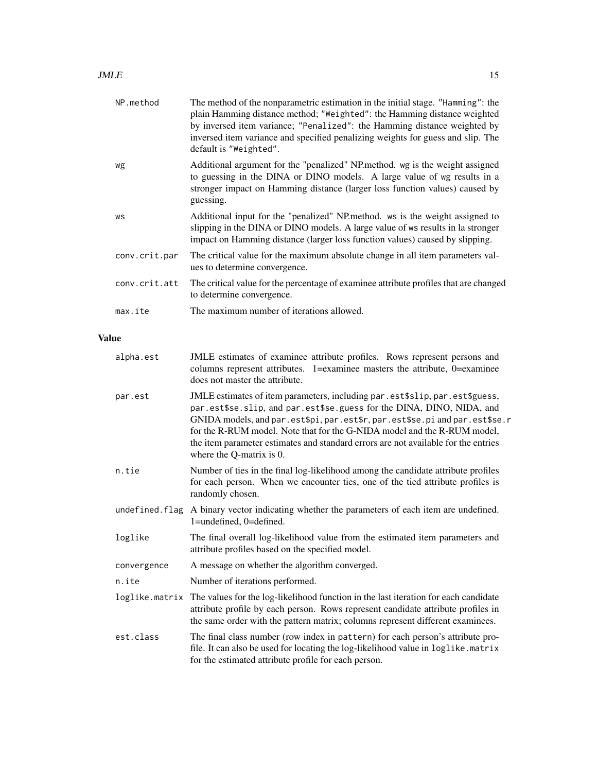| NP.method     | The method of the nonparametric estimation in the initial stage. "Hamming": the<br>plain Hamming distance method; "Weighted": the Hamming distance weighted<br>by inversed item variance; "Penalized": the Hamming distance weighted by<br>inversed item variance and specified penalizing weights for guess and slip. The<br>default is "Weighted". |
|---------------|------------------------------------------------------------------------------------------------------------------------------------------------------------------------------------------------------------------------------------------------------------------------------------------------------------------------------------------------------|
| wg            | Additional argument for the "penalized" NP method, wg is the weight assigned<br>to guessing in the DINA or DINO models. A large value of wg results in a<br>stronger impact on Hamming distance (larger loss function values) caused by<br>guessing.                                                                                                 |
| WS            | Additional input for the "penalized" NP method. ws is the weight assigned to<br>slipping in the DINA or DINO models. A large value of ws results in la stronger<br>impact on Hamming distance (larger loss function values) caused by slipping.                                                                                                      |
| conv.crit.par | The critical value for the maximum absolute change in all item parameters val-<br>ues to determine convergence.                                                                                                                                                                                                                                      |
| conv.crit.att | The critical value for the percentage of examinee attribute profiles that are changed<br>to determine convergence.                                                                                                                                                                                                                                   |
| max.ite       | The maximum number of iterations allowed.                                                                                                                                                                                                                                                                                                            |

## Value

| alpha.est      | JMLE estimates of examinee attribute profiles. Rows represent persons and<br>columns represent attributes. 1=examinee masters the attribute, 0=examinee<br>does not master the attribute.                                                                                                                                                                                                                                             |
|----------------|---------------------------------------------------------------------------------------------------------------------------------------------------------------------------------------------------------------------------------------------------------------------------------------------------------------------------------------------------------------------------------------------------------------------------------------|
| par.est        | JMLE estimates of item parameters, including par . est\$slip, par . est\$guess,<br>par.est\$se.slip, and par.est\$se.guess for the DINA, DINO, NIDA, and<br>GNIDA models, and par.est\$pi, par.est\$r, par.est\$se.pi and par.est\$se.r<br>for the R-RUM model. Note that for the G-NIDA model and the R-RUM model,<br>the item parameter estimates and standard errors are not available for the entries<br>where the Q-matrix is 0. |
| n.tie          | Number of ties in the final log-likelihood among the candidate attribute profiles<br>for each person. When we encounter ties, one of the tied attribute profiles is<br>randomly chosen.                                                                                                                                                                                                                                               |
| undefined.flag | A binary vector indicating whether the parameters of each item are undefined.<br>1=undefined, 0=defined.                                                                                                                                                                                                                                                                                                                              |
| loglike        | The final overall log-likelihood value from the estimated item parameters and<br>attribute profiles based on the specified model.                                                                                                                                                                                                                                                                                                     |
| convergence    | A message on whether the algorithm converged.                                                                                                                                                                                                                                                                                                                                                                                         |
| n.ite          | Number of iterations performed.                                                                                                                                                                                                                                                                                                                                                                                                       |
|                | loglike matrix The values for the log-likelihood function in the last iteration for each candidate<br>attribute profile by each person. Rows represent candidate attribute profiles in<br>the same order with the pattern matrix; columns represent different examinees.                                                                                                                                                              |
| est.class      | The final class number (row index in pattern) for each person's attribute pro-<br>file. It can also be used for locating the log-likelihood value in loglike.matrix<br>for the estimated attribute profile for each person.                                                                                                                                                                                                           |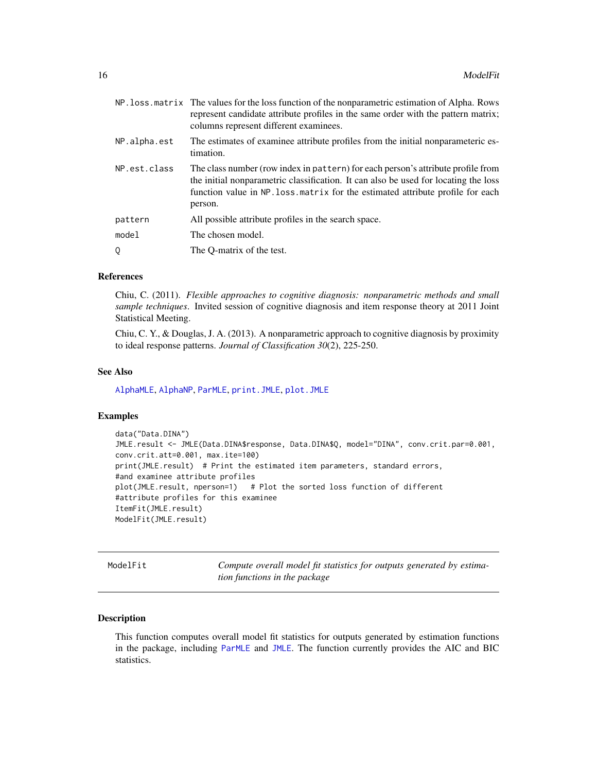<span id="page-15-0"></span>

|              | NP. loss. matrix The values for the loss function of the nonparametric estimation of Alpha. Rows<br>represent candidate attribute profiles in the same order with the pattern matrix;<br>columns represent different examinees.                                       |
|--------------|-----------------------------------------------------------------------------------------------------------------------------------------------------------------------------------------------------------------------------------------------------------------------|
| NP.alpha.est | The estimates of examinee attribute profiles from the initial nonparameteric es-<br>timation.                                                                                                                                                                         |
| NP.est.class | The class number (row index in pattern) for each person's attribute profile from<br>the initial nonparametric classification. It can also be used for locating the loss<br>function value in NP. loss. matrix for the estimated attribute profile for each<br>person. |
| pattern      | All possible attribute profiles in the search space.                                                                                                                                                                                                                  |
| model        | The chosen model.                                                                                                                                                                                                                                                     |
| 0            | The O-matrix of the test.                                                                                                                                                                                                                                             |
|              |                                                                                                                                                                                                                                                                       |

#### References

Chiu, C. (2011). *Flexible approaches to cognitive diagnosis: nonparametric methods and small sample techniques*. Invited session of cognitive diagnosis and item response theory at 2011 Joint Statistical Meeting.

Chiu, C. Y., & Douglas, J. A. (2013). A nonparametric approach to cognitive diagnosis by proximity to ideal response patterns. *Journal of Classification 30*(2), 225-250.

#### See Also

[AlphaMLE](#page-3-1), [AlphaNP](#page-5-1), [ParMLE](#page-16-1), [print.JMLE](#page-20-1), [plot.JMLE](#page-18-1)

#### Examples

```
data("Data.DINA")
JMLE.result <- JMLE(Data.DINA$response, Data.DINA$Q, model="DINA", conv.crit.par=0.001,
conv.crit.att=0.001, max.ite=100)
print(JMLE.result) # Print the estimated item parameters, standard errors,
#and examinee attribute profiles
plot(JMLE.result, nperson=1) # Plot the sorted loss function of different
#attribute profiles for this examinee
ItemFit(JMLE.result)
ModelFit(JMLE.result)
```
ModelFit *Compute overall model fit statistics for outputs generated by estimation functions in the package*

#### Description

This function computes overall model fit statistics for outputs generated by estimation functions in the package, including [ParMLE](#page-16-1) and [JMLE](#page-13-1). The function currently provides the AIC and BIC statistics.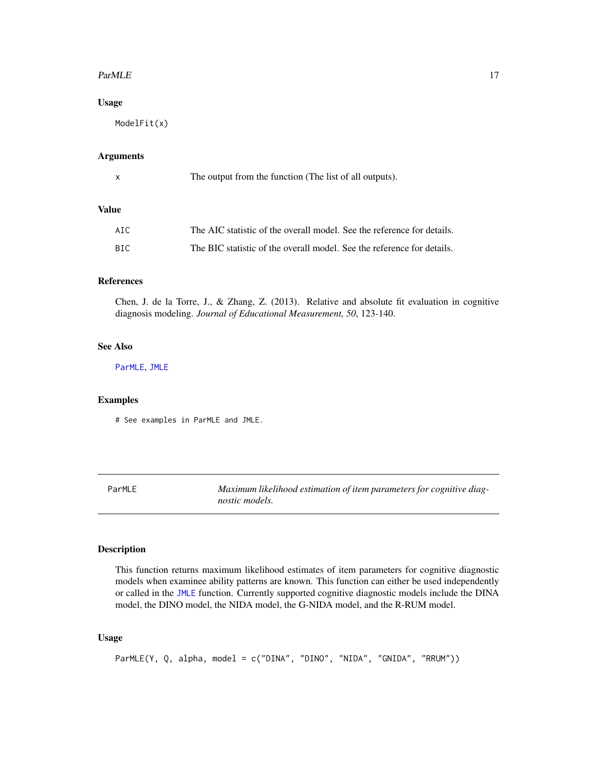#### <span id="page-16-0"></span> $ParMLE$  17

## Usage

ModelFit(x)

#### Arguments

| The output from the function (The list of all outputs). |
|---------------------------------------------------------|
|                                                         |

## Value

| AIC | The AIC statistic of the overall model. See the reference for details. |
|-----|------------------------------------------------------------------------|
| BIC | The BIC statistic of the overall model. See the reference for details. |

## References

Chen, J. de la Torre, J., & Zhang, Z. (2013). Relative and absolute fit evaluation in cognitive diagnosis modeling. *Journal of Educational Measurement, 50*, 123-140.

## See Also

[ParMLE](#page-16-1), [JMLE](#page-13-1)

#### Examples

# See examples in ParMLE and JMLE.

<span id="page-16-1"></span>ParMLE *Maximum likelihood estimation of item parameters for cognitive diagnostic models.*

#### Description

This function returns maximum likelihood estimates of item parameters for cognitive diagnostic models when examinee ability patterns are known. This function can either be used independently or called in the [JMLE](#page-13-1) function. Currently supported cognitive diagnostic models include the DINA model, the DINO model, the NIDA model, the G-NIDA model, and the R-RUM model.

## Usage

```
ParMLE(Y, Q, alpha, model = c("DINA", "DINO", "NIDA", "GNIDA", "RRUM"))
```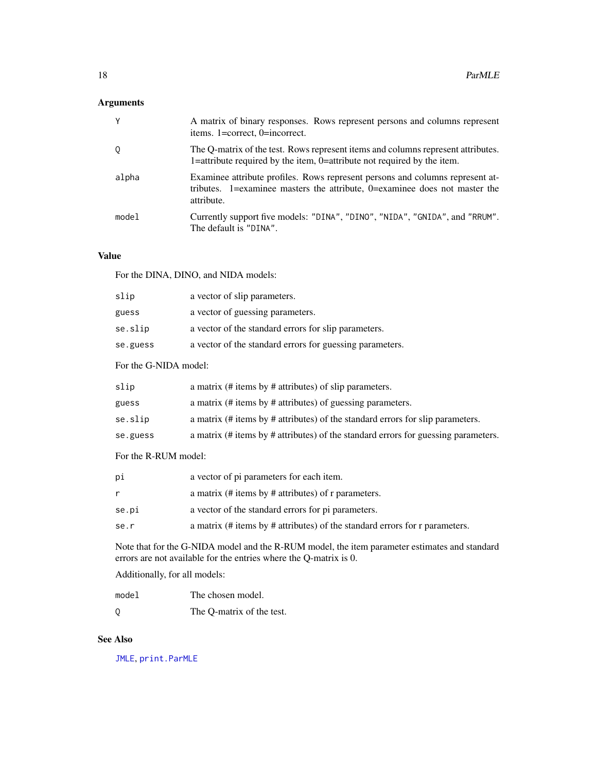## <span id="page-17-0"></span>Arguments

| Y     | A matrix of binary responses. Rows represent persons and columns represent<br>items. 1=correct, 0=incorrect.                                                              |
|-------|---------------------------------------------------------------------------------------------------------------------------------------------------------------------------|
| Q     | The Q-matrix of the test. Rows represent items and columns represent attributes.<br>1=attribute required by the item, 0=attribute not required by the item.               |
| alpha | Examinee attribute profiles. Rows represent persons and columns represent at-<br>tributes. 1=examinee masters the attribute, 0=examinee does not master the<br>attribute. |
| model | Currently support five models: "DINA", "DINO", "NIDA", "GNIDA", and "RRUM".<br>The default is "DINA".                                                                     |

## Value

For the DINA, DINO, and NIDA models:

| slip     | a vector of slip parameters.                             |
|----------|----------------------------------------------------------|
| guess    | a vector of guessing parameters.                         |
| se.slip  | a vector of the standard errors for slip parameters.     |
| se.guess | a vector of the standard errors for guessing parameters. |
|          |                                                          |

## For the G-NIDA model:

| slip     | a matrix (# items by # attributes) of slip parameters.                             |
|----------|------------------------------------------------------------------------------------|
| guess    | a matrix (# items by # attributes) of guessing parameters.                         |
| se.slip  | a matrix (# items by # attributes) of the standard errors for slip parameters.     |
| se.guess | a matrix (# items by # attributes) of the standard errors for guessing parameters. |
|          |                                                                                    |

For the R-RUM model:

| рi    | a vector of pi parameters for each item.                                    |
|-------|-----------------------------------------------------------------------------|
|       | a matrix (# items by # attributes) of r parameters.                         |
| se.pi | a vector of the standard errors for pi parameters.                          |
| se.r  | a matrix (# items by # attributes) of the standard errors for r parameters. |
|       |                                                                             |

Note that for the G-NIDA model and the R-RUM model, the item parameter estimates and standard errors are not available for the entries where the Q-matrix is 0.

Additionally, for all models:

| model    | The chosen model.         |
|----------|---------------------------|
| $\Omega$ | The O-matrix of the test. |

## See Also

[JMLE](#page-13-1), [print.ParMLE](#page-20-1)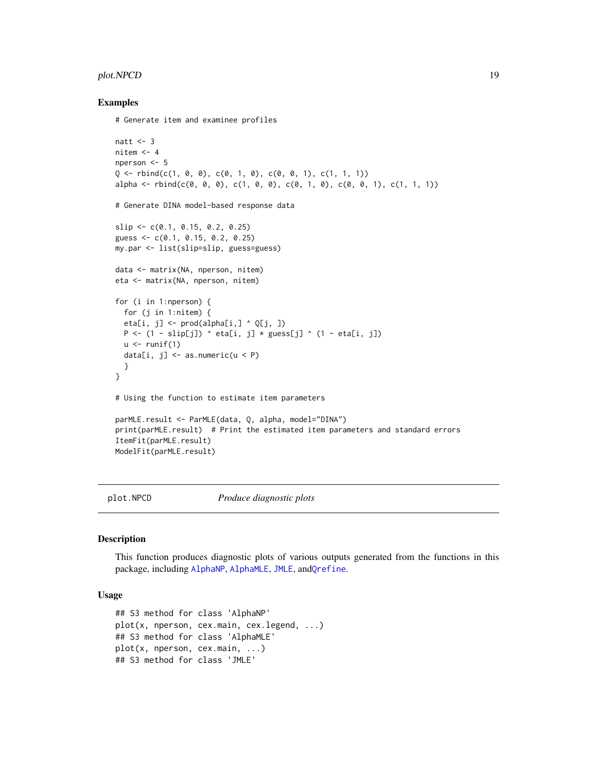#### <span id="page-18-0"></span>plot.NPCD 19

#### Examples

```
# Generate item and examinee profiles
```

```
natt <-3nitem <-4nperson <- 5
Q \leq -rbind(c(1, 0, 0), c(0, 1, 0), c(0, 0, 1), c(1, 1, 1))alpha <- rbind(c(0, 0, 0), c(1, 0, 0), c(0, 1, 0), c(0, 0, 1), c(1, 1, 1))
# Generate DINA model-based response data
slip <- c(0.1, 0.15, 0.2, 0.25)
guess <- c(0.1, 0.15, 0.2, 0.25)
my.par <- list(slip=slip, guess=guess)
data <- matrix(NA, nperson, nitem)
eta <- matrix(NA, nperson, nitem)
for (i in 1:nperson) {
  for (j in 1:nitem) {
  eta[i, j] <- prod(a1pha[i, ] ^ q[i, ] )P \leftarrow (1 - \text{slip}[j]) \land \text{eta}[i, j] \times \text{guess}[j] \land (1 - \text{eta}[i, j])u \leftarrow runif(1)data[i, j] <- as.numeric(u < P)
  }
}
# Using the function to estimate item parameters
parMLE.result <- ParMLE(data, Q, alpha, model="DINA")
print(parMLE.result) # Print the estimated item parameters and standard errors
ItemFit(parMLE.result)
ModelFit(parMLE.result)
```
plot.NPCD *Produce diagnostic plots*

#### <span id="page-18-1"></span>Description

This function produces diagnostic plots of various outputs generated from the functions in this package, including [AlphaNP](#page-5-1), [AlphaMLE](#page-3-1), [JMLE](#page-13-1), and[Qrefine](#page-21-1).

#### Usage

```
## S3 method for class 'AlphaNP'
plot(x, nperson, cex.main, cex.legend, ...)
## S3 method for class 'AlphaMLE'
plot(x, nperson, cex.main, ...)
## S3 method for class 'JMLE'
```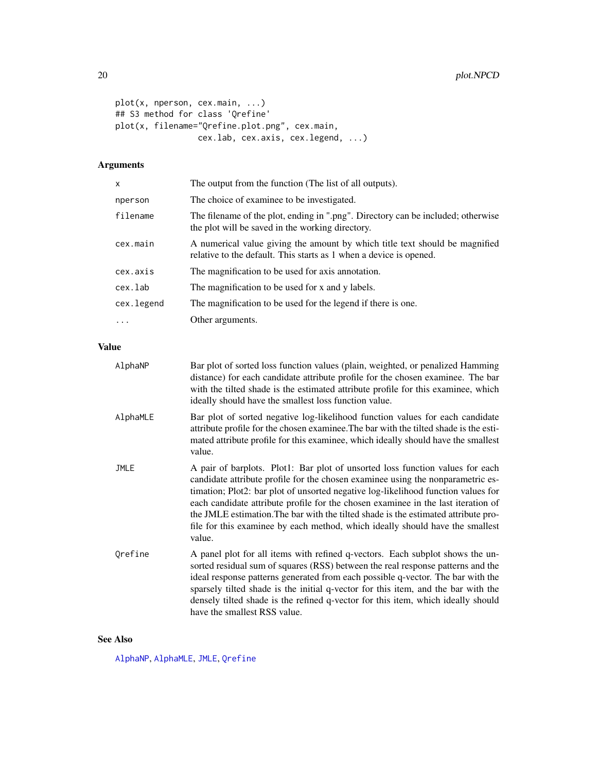```
plot(x, nperson, cex.main, ...)
## S3 method for class 'Qrefine'
plot(x, filename="Qrefine.plot.png", cex.main,
                 cex.lab, cex.axis, cex.legend, ...)
```
## Arguments

| x          | The output from the function (The list of all outputs).                                                                                           |
|------------|---------------------------------------------------------------------------------------------------------------------------------------------------|
| nperson    | The choice of examinee to be investigated.                                                                                                        |
| filename   | The filename of the plot, ending in ".png". Directory can be included; otherwise<br>the plot will be saved in the working directory.              |
| cex.main   | A numerical value giving the amount by which title text should be magnified<br>relative to the default. This starts as 1 when a device is opened. |
| cex.axis   | The magnification to be used for axis annotation.                                                                                                 |
| cex.lab    | The magnification to be used for x and y labels.                                                                                                  |
| cex.legend | The magnification to be used for the legend if there is one.                                                                                      |
| $\cdots$   | Other arguments.                                                                                                                                  |
|            |                                                                                                                                                   |

## Value

| AlphaNP     | Bar plot of sorted loss function values (plain, weighted, or penalized Hamming<br>distance) for each candidate attribute profile for the chosen examinee. The bar<br>with the tilted shade is the estimated attribute profile for this examinee, which<br>ideally should have the smallest loss function value.                                                                                                                                                                                                             |
|-------------|-----------------------------------------------------------------------------------------------------------------------------------------------------------------------------------------------------------------------------------------------------------------------------------------------------------------------------------------------------------------------------------------------------------------------------------------------------------------------------------------------------------------------------|
| AlphaMLE    | Bar plot of sorted negative log-likelihood function values for each candidate<br>attribute profile for the chosen examinee. The bar with the tilted shade is the esti-<br>mated attribute profile for this examinee, which ideally should have the smallest<br>value.                                                                                                                                                                                                                                                       |
| <b>JMLE</b> | A pair of barplots. Plot1: Bar plot of unsorted loss function values for each<br>candidate attribute profile for the chosen examinee using the nonparametric es-<br>timation; Plot2: bar plot of unsorted negative log-likelihood function values for<br>each candidate attribute profile for the chosen examinee in the last iteration of<br>the JMLE estimation. The bar with the tilted shade is the estimated attribute pro-<br>file for this examinee by each method, which ideally should have the smallest<br>value. |
| Orefine     | A panel plot for all items with refined q-vectors. Each subplot shows the un-<br>sorted residual sum of squares (RSS) between the real response patterns and the<br>ideal response patterns generated from each possible q-vector. The bar with the<br>sparsely tilted shade is the initial q-vector for this item, and the bar with the<br>densely tilted shade is the refined q-vector for this item, which ideally should<br>have the smallest RSS value.                                                                |

## See Also

[AlphaNP](#page-5-1), [AlphaMLE](#page-3-1), [JMLE](#page-13-1), [Qrefine](#page-21-1)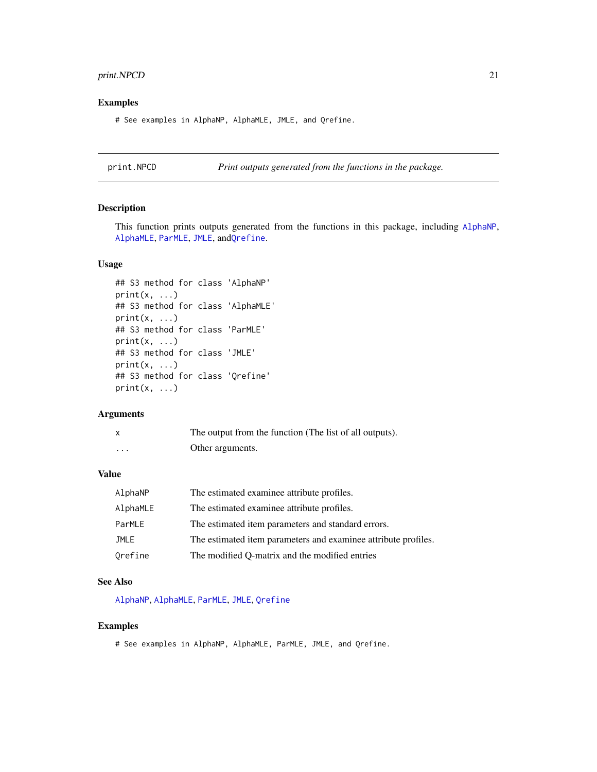## <span id="page-20-0"></span>print.NPCD 21

#### Examples

# See examples in AlphaNP, AlphaMLE, JMLE, and Qrefine.

print.NPCD *Print outputs generated from the functions in the package.*

## <span id="page-20-1"></span>Description

This function prints outputs generated from the functions in this package, including [AlphaNP](#page-5-1), [AlphaMLE](#page-3-1), [ParMLE](#page-16-1), [JMLE](#page-13-1), and[Qrefine](#page-21-1).

#### Usage

```
## S3 method for class 'AlphaNP'
print(x, \ldots)## S3 method for class 'AlphaMLE'
print(x, \ldots)## S3 method for class 'ParMLE'
print(x, \ldots)## S3 method for class 'JMLE'
print(x, \ldots)## S3 method for class 'Qrefine'
print(x, \ldots)
```
#### Arguments

|          | The output from the function (The list of all outputs). |
|----------|---------------------------------------------------------|
| $\cdots$ | Other arguments.                                        |

## Value

| AlphaNP  | The estimated examinee attribute profiles.                     |
|----------|----------------------------------------------------------------|
| AlphaMLE | The estimated examinee attribute profiles.                     |
| ParMLE   | The estimated item parameters and standard errors.             |
| JMLE     | The estimated item parameters and examinee attribute profiles. |
| Orefine  | The modified Q-matrix and the modified entries                 |

#### See Also

[AlphaNP](#page-5-1), [AlphaMLE](#page-3-1), [ParMLE](#page-16-1), [JMLE](#page-13-1), [Qrefine](#page-21-1)

## Examples

# See examples in AlphaNP, AlphaMLE, ParMLE, JMLE, and Qrefine.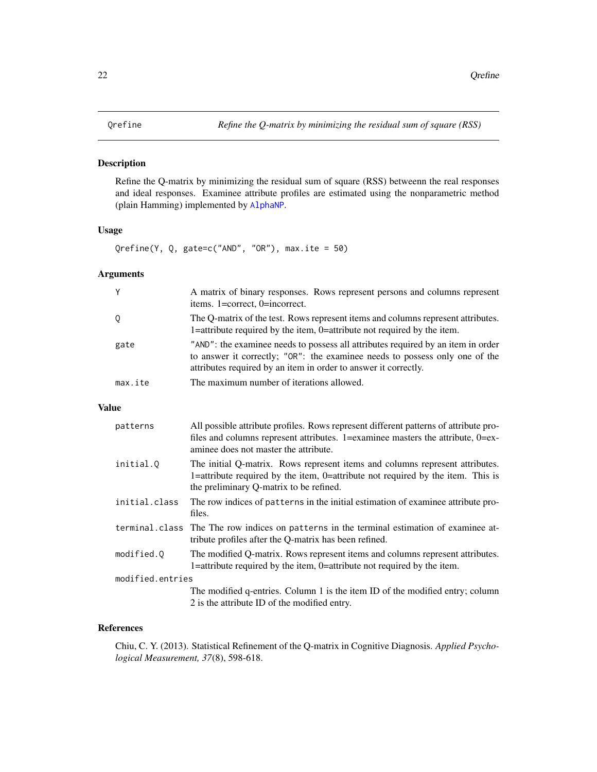## <span id="page-21-1"></span><span id="page-21-0"></span>Description

Refine the Q-matrix by minimizing the residual sum of square (RSS) betweenn the real responses and ideal responses. Examinee attribute profiles are estimated using the nonparametric method (plain Hamming) implemented by [AlphaNP](#page-5-1).

## Usage

Qrefine(Y, Q, gate=c("AND", "OR"), max.ite = 50)

## Arguments

| Y       | A matrix of binary responses. Rows represent persons and columns represent<br>items. 1=correct, 0=incorrect.                                                                                                                       |
|---------|------------------------------------------------------------------------------------------------------------------------------------------------------------------------------------------------------------------------------------|
| Q       | The Q-matrix of the test. Rows represent items and columns represent attributes.<br>1=attribute required by the item, 0=attribute not required by the item.                                                                        |
| gate    | "AND": the examinee needs to possess all attributes required by an item in order<br>to answer it correctly; "OR": the examinee needs to possess only one of the<br>attributes required by an item in order to answer it correctly. |
| max.ite | The maximum number of iterations allowed.                                                                                                                                                                                          |

## Value

| patterns         | All possible attribute profiles. Rows represent different patterns of attribute pro-<br>files and columns represent attributes. 1=examinee masters the attribute, $0 = ex$ -<br>aminee does not master the attribute. |
|------------------|-----------------------------------------------------------------------------------------------------------------------------------------------------------------------------------------------------------------------|
| initial.Q        | The initial Q-matrix. Rows represent items and columns represent attributes.<br>1=attribute required by the item, 0=attribute not required by the item. This is<br>the preliminary Q-matrix to be refined.            |
| initial.class    | The row indices of patterns in the initial estimation of examinee attribute pro-<br>files.                                                                                                                            |
|                  | terminal.class The The row indices on patterns in the terminal estimation of examinee at-<br>tribute profiles after the Q-matrix has been refined.                                                                    |
| modified.0       | The modified Q-matrix. Rows represent items and columns represent attributes.<br>1=attribute required by the item, 0=attribute not required by the item.                                                              |
| modified.entries |                                                                                                                                                                                                                       |
|                  | The modified q-entries. Column 1 is the item ID of the modified entry; column                                                                                                                                         |
|                  | 2 is the attribute ID of the modified entry.                                                                                                                                                                          |

#### References

Chiu, C. Y. (2013). Statistical Refinement of the Q-matrix in Cognitive Diagnosis. *Applied Psychological Measurement, 37*(8), 598-618.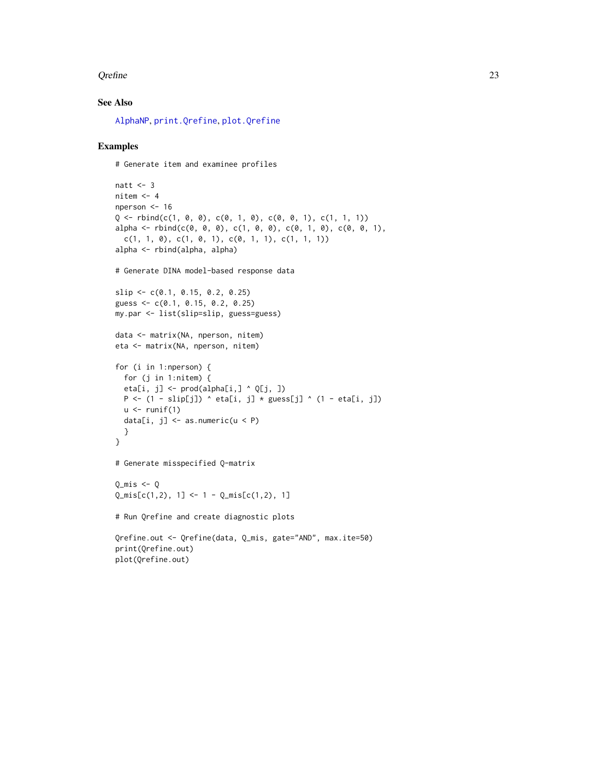#### <span id="page-22-0"></span>Qrefine 23

## See Also

[AlphaNP](#page-5-1), [print.Qrefine](#page-20-1), [plot.Qrefine](#page-18-1)

#### Examples

# Generate item and examinee profiles

```
natt <-3nitem <-4nperson <- 16
Q \leftarrow \text{rbind}(c(1, 0, 0), c(0, 1, 0), c(0, 0, 1), c(1, 1, 1))alpha <- rbind(c(0, 0, 0), c(1, 0, 0), c(0, 1, 0), c(0, 0, 1),
 c(1, 1, 0), c(1, 0, 1), c(0, 1, 1), c(1, 1, 1))alpha <- rbind(alpha, alpha)
# Generate DINA model-based response data
slip <- c(0.1, 0.15, 0.2, 0.25)
guess <- c(0.1, 0.15, 0.2, 0.25)
my.par <- list(slip=slip, guess=guess)
data <- matrix(NA, nperson, nitem)
eta <- matrix(NA, nperson, nitem)
for (i in 1:nperson) {
  for (j in 1:nitem) {
  eta[i, j] \leq prod(alpha[i,] \land Q[j, ])
  P \leftarrow (1 - \text{slip}[j]) \land \text{eta}[i, j] \times \text{guess}[j] \land (1 - \text{eta}[i, j])u \leftarrow runif(1)data[i, j] \leq as.numeric(u \leq P)
  }
}
# Generate misspecified Q-matrix
Q_mis \leftarrow QQ_mis[c(1,2), 1] <- 1 - Q_mis[c(1,2), 1]# Run Qrefine and create diagnostic plots
Qrefine.out <- Qrefine(data, Q_mis, gate="AND", max.ite=50)
print(Qrefine.out)
plot(Qrefine.out)
```